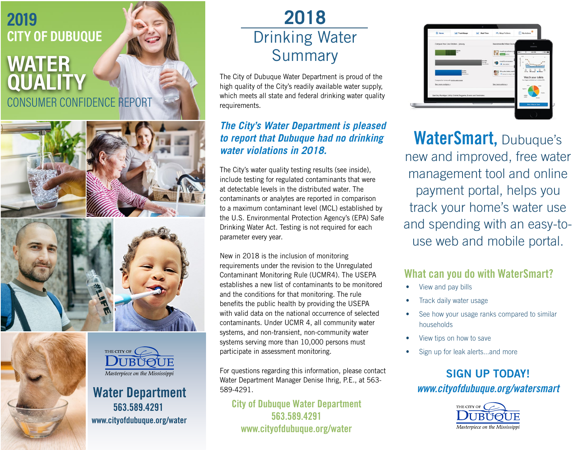# **2019 CITY OF DUBUQUE**

## CONSUMER CONFIDENCE REPORT **WATER QUALITY**



www.cityofdubuque.org/water

Water Department 563.589.4291

I IBIYOT IE Masterpiece on the Mississippi

THE CITY OF



# **2018**  Drinking Water Summary

The City of Dubuque Water Department is proud of the high quality of the City's readily available water supply, which meets all state and federal drinking water quality requirements.

#### *The City's Water Department is pleased to report that Dubuque had no drinking water violations in 2018.*

The City's water quality testing results (see inside), include testing for regulated contaminants that were at detectable levels in the distributed water. The contaminants or analytes are reported in comparison to a maximum contaminant level (MCL) established by the U.S. Environmental Protection Agency's (EPA) Safe Drinking Water Act. Testing is not required for each parameter every year.

New in 2018 is the inclusion of monitoring requirements under the revision to the Unregulated Contaminant Monitoring Rule (UCMR4). The USEPA establishes a new list of contaminants to be monitored and the conditions for that monitoring. The rule benefits the public health by providing the USEPA with valid data on the national occurrence of selected contaminants. Under UCMR 4, all community water systems, and non-transient, non-community water systems serving more than 10,000 persons must participate in assessment monitoring.

For questions regarding this information, please contact Water Department Manager Denise Ihrig, P.E., at 563- 589-4291.

City of Dubuque Water Department 563.589.4291 www.cityofdubuque.org/water



WaterSmart, Dubuque's new and improved, free water management tool and online payment portal, helps you track your home's water use and spending with an easy-touse web and mobile portal.

#### What can you do with WaterSmart?

- View and pay bills
- Track daily water usage
- See how your usage ranks compared to similar households
- View tips on how to save
- Sign up for leak alerts...and more

### SIGN UP TODAY! *www.cityofdubuque.org/watersmart*

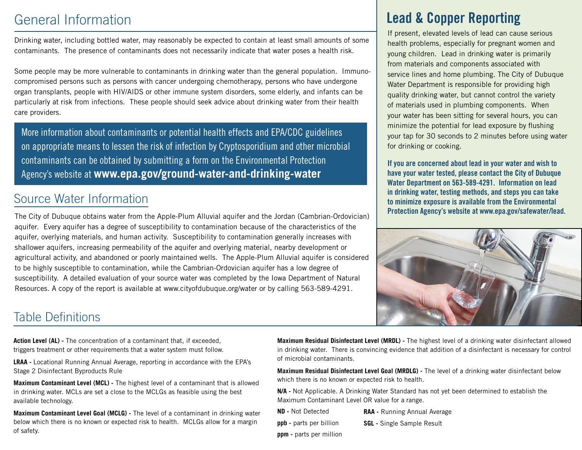## General Information

Drinking water, including bottled water, may reasonably be expected to contain at least small amounts of some contaminants. The presence of contaminants does not necessarily indicate that water poses a health risk.

Some people may be more vulnerable to contaminants in drinking water than the general population. Immunocompromised persons such as persons with cancer undergoing chemotherapy, persons who have undergone organ transplants, people with HIV/AIDS or other immune system disorders, some elderly, and infants can be particularly at risk from infections. These people should seek advice about drinking water from their health care providers.

More information about contaminants or potential health effects and EPA/CDC guidelines on appropriate means to lessen the risk of infection by Cryptosporidium and other microbial contaminants can be obtained by submitting a form on the Environmental Protection Agency's website at **www.epa.gov/ground-water-and-drinking-water**

### Source Water Information

The City of Dubuque obtains water from the Apple-Plum Alluvial aquifer and the Jordan (Cambrian-Ordovician) aquifer. Every aquifer has a degree of susceptibility to contamination because of the characteristics of the aquifer, overlying materials, and human activity. Susceptibility to contamination generally increases with shallower aquifers, increasing permeability of the aquifer and overlying material, nearby development or agricultural activity, and abandoned or poorly maintained wells. The Apple-Plum Alluvial aquifer is considered to be highly susceptible to contamination, while the Cambrian-Ordovician aquifer has a low degree of susceptibility. A detailed evaluation of your source water was completed by the Iowa Department of Natural Resources. A copy of the report is available at www.cityofdubuque.org/water or by calling 563-589-4291.

## Lead & Copper Reporting

If present, elevated levels of lead can cause serious health problems, especially for pregnant women and young children. Lead in drinking water is primarily from materials and components associated with service lines and home plumbing. The City of Dubuque Water Department is responsible for providing high quality drinking water, but cannot control the variety of materials used in plumbing components. When your water has been sitting for several hours, you can minimize the potential for lead exposure by flushing your tap for 30 seconds to 2 minutes before using water for drinking or cooking.

If you are concerned about lead in your water and wish to have your water tested, please contact the City of Dubuque Water Department on 563-589-4291. Information on lead in drinking water, testing methods, and steps you can take to minimize exposure is available from the Environmental Protection Agency's website at www.epa.gov/safewater/lead.



### Table Definitions

**Action Level (AL) -** The concentration of a contaminant that, if exceeded, triggers treatment or other requirements that a water system must follow.

**LRAA -** Locational Running Annual Average, reporting in accordance with the EPA's Stage 2 Disinfectant Byproducts Rule

**Maximum Contaminant Level (MCL) -** The highest level of a contaminant that is allowed in drinking water. MCLs are set a close to the MCLGs as feasible using the best available technology.

**Maximum Contaminant Level Goal (MCLG) -** The level of a contaminant in drinking water below which there is no known or expected risk to health. MCLGs allow for a margin of safety.

**Maximum Residual Disinfectant Level (MRDL) -** The highest level of a drinking water disinfectant allowed in drinking water. There is convincing evidence that addition of a disinfectant is necessary for control of microbial contaminants.

**Maximum Residual Disinfectant Level Goal (MRDLG) -** The level of a drinking water disinfectant below which there is no known or expected risk to health.

**N/A -** Not Applicable. A Drinking Water Standard has not yet been determined to establish the Maximum Contaminant Level OR value for a range.

- **ND -** Not Detected
- **ppb -** parts per billion
- **RAA -** Running Annual Average
- **SGL -** Single Sample Result
- **ppm -** parts per million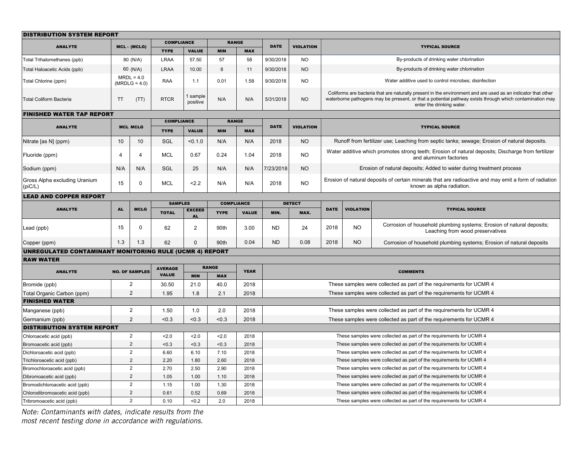| <b>DISTRIBUTION SYSTEM REPORT</b>                              |                                 |                |                                |                      |                            |                                   |                                                                     |                                                                     |                                                                                                                                                                                                                                                        |                  |                                                                                                           |  |
|----------------------------------------------------------------|---------------------------------|----------------|--------------------------------|----------------------|----------------------------|-----------------------------------|---------------------------------------------------------------------|---------------------------------------------------------------------|--------------------------------------------------------------------------------------------------------------------------------------------------------------------------------------------------------------------------------------------------------|------------------|-----------------------------------------------------------------------------------------------------------|--|
| <b>ANALYTE</b>                                                 |                                 | MCL - (MCLG)   | <b>COMPLIANCE</b>              |                      | <b>RANGE</b>               |                                   | <b>DATE</b>                                                         | <b>VIOLATION</b>                                                    |                                                                                                                                                                                                                                                        |                  | <b>TYPICAL SOURCE</b>                                                                                     |  |
|                                                                |                                 |                | <b>TYPE</b>                    | <b>VALUE</b>         | <b>MIN</b>                 | <b>MAX</b>                        |                                                                     |                                                                     |                                                                                                                                                                                                                                                        |                  |                                                                                                           |  |
| Total Trihalomethanes (ppb)                                    | 80 (N/A)                        |                | <b>LRAA</b>                    | 57.50                | 57                         | 58                                | 9/30/2018                                                           | <b>NO</b>                                                           | By-products of drinking water chlorination                                                                                                                                                                                                             |                  |                                                                                                           |  |
| 60 (N/A)<br>Total Haloacetic Acids (ppb)                       |                                 | <b>LRAA</b>    | 10.00                          | 8                    | 11                         | 9/30/2018                         | <b>NO</b>                                                           | By-products of drinking water chlorination                          |                                                                                                                                                                                                                                                        |                  |                                                                                                           |  |
| Total Chlorine (ppm)                                           | $MRDL = 4.0$<br>$(MRDLG = 4.0)$ |                | RAA                            | 1.1                  | 0.01                       | 1.58                              | 9/30/2018                                                           | <b>NO</b>                                                           | Water additive used to control microbes; disinfection                                                                                                                                                                                                  |                  |                                                                                                           |  |
| <b>Total Coliform Bacteria</b>                                 | <b>TT</b><br>(TT)               |                | <b>RTCR</b>                    | 1 sample<br>positive | N/A                        | N/A                               | 5/31/2018                                                           | <b>NO</b>                                                           | Coliforms are bacteria that are naturally present in the environment and are used as an indicator that other<br>waterborne pathogens may be prresent, or that a potiential pathway exists through which contamination may<br>enter the drinking water. |                  |                                                                                                           |  |
| <b>FINISHED WATER TAP REPORT</b>                               |                                 |                |                                |                      |                            |                                   |                                                                     |                                                                     |                                                                                                                                                                                                                                                        |                  |                                                                                                           |  |
| <b>ANALYTE</b>                                                 |                                 |                |                                | <b>COMPLIANCE</b>    |                            | <b>RANGE</b>                      | <b>DATE</b>                                                         | <b>VIOLATION</b>                                                    | <b>TYPICAL SOURCE</b>                                                                                                                                                                                                                                  |                  |                                                                                                           |  |
|                                                                | <b>MCL MCLG</b>                 |                | <b>TYPE</b>                    | <b>VALUE</b>         | <b>MIN</b>                 | <b>MAX</b>                        |                                                                     |                                                                     |                                                                                                                                                                                                                                                        |                  |                                                                                                           |  |
| Nitrate [as N] (ppm)                                           | 10                              | 10             | SGL                            | < 0.1.0              | N/A                        | N/A                               | 2018                                                                | <b>NO</b>                                                           | Runoff from fertilizer use; Leaching from septic tanks; sewage; Erosion of natural deposits.                                                                                                                                                           |                  |                                                                                                           |  |
| Fluoride (ppm)                                                 | $\overline{4}$                  | $\overline{4}$ | <b>MCL</b>                     | 0.67                 | 0.24                       | 1.04                              | 2018                                                                | <b>NO</b>                                                           | Water additive which promotes strong teeth; Erosion of natural deposits; Discharge from fertilizer<br>and aluminum factories                                                                                                                           |                  |                                                                                                           |  |
| Sodium (ppm)                                                   | N/A                             | N/A            | SGL                            | 25                   | N/A                        | N/A                               | 7/23/2018                                                           | <b>NO</b>                                                           | Erosion of natural deposits; Added to water during treatment process                                                                                                                                                                                   |                  |                                                                                                           |  |
| Gross Alpha excluding Uranium<br>(piC/L)                       | 15                              | $\mathbf 0$    | <b>MCL</b>                     | 2.2                  | N/A                        | N/A                               | 2018                                                                | <b>NO</b>                                                           | Erosion of natural deposits of certain minerals that are radioactive and may emit a form of radiation<br>known as alpha radiation.                                                                                                                     |                  |                                                                                                           |  |
| <b>LEAD AND COPPER REPORT</b>                                  |                                 |                |                                |                      |                            |                                   |                                                                     |                                                                     |                                                                                                                                                                                                                                                        |                  |                                                                                                           |  |
| <b>ANALYTE</b>                                                 | <b>AL</b>                       | <b>MCLG</b>    | <b>SAMPLES</b>                 |                      |                            | <b>COMPLIANCE</b><br><b>VALUE</b> |                                                                     | <b>DETECT</b>                                                       | <b>DATE</b>                                                                                                                                                                                                                                            | <b>VIOLATION</b> | <b>TYPICAL SOURCE</b>                                                                                     |  |
|                                                                |                                 |                | <b>TOTAL</b>                   | <b>EXCEED</b>        | <b>TYPE</b>                |                                   | MIN.                                                                | MAX.                                                                |                                                                                                                                                                                                                                                        |                  |                                                                                                           |  |
| Lead (ppb)                                                     | 15                              | $\mathbf 0$    | 62                             | 2                    | 90th                       | 3.00                              | <b>ND</b>                                                           | 24                                                                  | 2018                                                                                                                                                                                                                                                   | <b>NO</b>        | Corrosion of household plumbing systems; Erosion of natural deposits;<br>Leaching from wood preservatives |  |
| Copper (ppm)                                                   | 1.3                             | 1.3            | 62                             | $\Omega$             | 90th                       | 0.04                              | <b>ND</b>                                                           | 0.08                                                                | 2018                                                                                                                                                                                                                                                   | <b>NO</b>        | Corrosion of household plumbing systems; Erosion of natural deposits                                      |  |
| <b>UNREGULATED CONTAMINANT MONITORING RULE (UCMR 4) REPORT</b> |                                 |                |                                |                      |                            |                                   |                                                                     |                                                                     |                                                                                                                                                                                                                                                        |                  |                                                                                                           |  |
| <b>RAW WATER</b>                                               |                                 |                |                                |                      |                            |                                   |                                                                     |                                                                     |                                                                                                                                                                                                                                                        |                  |                                                                                                           |  |
| <b>ANALYTE</b>                                                 | <b>NO. OF SAMPLES</b>           |                | <b>AVERAGE</b><br><b>VALUE</b> | <b>MIN</b>           | <b>RANGE</b><br><b>MAX</b> | <b>YEAR</b>                       |                                                                     |                                                                     |                                                                                                                                                                                                                                                        |                  | <b>COMMENTS</b>                                                                                           |  |
| Bromide (ppb)                                                  |                                 | $\overline{2}$ | 30.50                          | 21.0                 | 40.0                       | 2018                              |                                                                     |                                                                     | These samples were collected as part of the requirements for UCMR 4                                                                                                                                                                                    |                  |                                                                                                           |  |
| Total Organic Carbon (ppm)                                     |                                 | 2              | 1.95                           | 1.8                  | 2.1                        | 2018                              |                                                                     |                                                                     | These samples were collected as part of the requirements for UCMR 4                                                                                                                                                                                    |                  |                                                                                                           |  |
| <b>FINISHED WATER</b>                                          |                                 |                |                                |                      |                            |                                   |                                                                     |                                                                     |                                                                                                                                                                                                                                                        |                  |                                                                                                           |  |
| Manganese (ppb)                                                |                                 | $\overline{2}$ | 1.50                           | 1.0                  | 2.0                        | 2018                              |                                                                     |                                                                     | These samples were collected as part of the requirements for UCMR 4                                                                                                                                                                                    |                  |                                                                                                           |  |
| Germanium (ppb)                                                |                                 | 2              | < 0.3                          | < 0.3                | < 0.3                      | 2018                              |                                                                     |                                                                     | These samples were collected as part of the requirements for UCMR 4                                                                                                                                                                                    |                  |                                                                                                           |  |
| <b>DISTRIBUTION SYSTEM REPORT</b>                              |                                 |                |                                |                      |                            |                                   |                                                                     |                                                                     |                                                                                                                                                                                                                                                        |                  |                                                                                                           |  |
| Chloroacetic acid (ppb)                                        |                                 | $\overline{2}$ | 2.0                            | 2.0                  | 2.0                        | 2018                              | These samples were collected as part of the requirements for UCMR 4 |                                                                     |                                                                                                                                                                                                                                                        |                  |                                                                                                           |  |
| Bromoacetic acid (ppb)                                         |                                 | 2              | < 0.3                          | < 0.3                | <0.3                       | 2018                              |                                                                     | These samples were collected as part of the requirements for UCMR 4 |                                                                                                                                                                                                                                                        |                  |                                                                                                           |  |
| Dichloroacetic acid (ppb)                                      |                                 | $\overline{2}$ | 6.60                           | 6.10                 | 7.10                       | 2018                              | These samples were collected as part of the requirements for UCMR 4 |                                                                     |                                                                                                                                                                                                                                                        |                  |                                                                                                           |  |
| Trichloroacetic acid (ppb)                                     |                                 | $\overline{2}$ | 2.20                           | 1.80                 | 2.60                       | 2018                              | These samples were collected as part of the requirements for UCMR 4 |                                                                     |                                                                                                                                                                                                                                                        |                  |                                                                                                           |  |
| Bromochloroacetic acid (ppb)                                   |                                 | $\overline{2}$ | 2.70                           | 2.50                 | 2.90                       | 2018                              |                                                                     | These samples were collected as part of the requirements for UCMR 4 |                                                                                                                                                                                                                                                        |                  |                                                                                                           |  |
| Dibromoacetic acid (ppb)                                       |                                 | 2              | 1.05                           | 1.00                 | 1.10                       | 2018                              |                                                                     | These samples were collected as part of the requirements for UCMR 4 |                                                                                                                                                                                                                                                        |                  |                                                                                                           |  |
| Bromodichloroacetic acid (ppb)                                 |                                 | $\overline{2}$ | 1.15                           | 1.00                 | 1.30                       | 2018                              |                                                                     |                                                                     | These samples were collected as part of the requirements for UCMR 4                                                                                                                                                                                    |                  |                                                                                                           |  |
| Chlorodibromoacetic acid (ppb)                                 |                                 | $\overline{2}$ | 0.61                           | 0.52                 | 0.69                       | 2018                              |                                                                     |                                                                     | These samples were collected as part of the requirements for UCMR 4                                                                                                                                                                                    |                  |                                                                                                           |  |
| Tribromoacetic acid (ppb)                                      |                                 | $\overline{2}$ | 0.10                           | < 0.2                | 2.0                        | 2018                              |                                                                     |                                                                     | These samples were collected as part of the requirements for UCMR 4                                                                                                                                                                                    |                  |                                                                                                           |  |

*Note: Contaminants with dates, indicate results from the most recent testing done in accordance with regulations.*